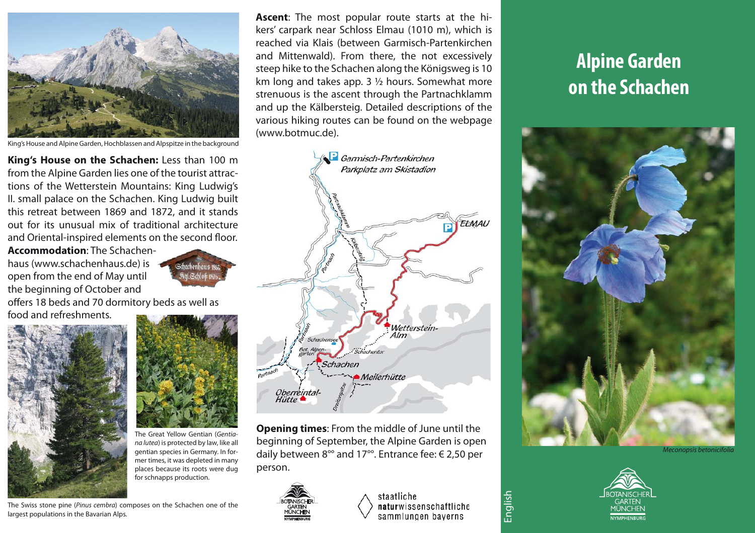

King's House and Alpine Garden, Hochblassen and Alpspitze in the background

**King's House on the Schachen:** Less than 100 m from the Alpine Garden lies one of the tourist attractions of the Wetterstein Mountains: King Ludwig's II. small palace on the Schachen. King Ludwig built this retreat between 1869 and 1872, and it stands out for its unusual mix of traditional architecture and Oriental-inspired elements on the second floor.

**Accommodation**: The Schachenhaus (www.schachenhaus.de) is open from the end of May until the beginning of October and



offers 18 beds and 70 dormitory beds as well as food and refreshments.



The Great Yellow Gentian (Gentiana lutea) is protected by law, like all gentian species in Germany. In former times, it was depleted in many places because its roots were dug for schnapps production.

The Swiss stone pine (Pinus cembra) composes on the Schachen one of the largest populations in the Bavarian Alps.

**Ascent**: The most popular route starts at the hikers' carpark near Schloss Elmau (1010 m), which is reached via Klais (between Garmisch-Partenkirchen and Mittenwald). From there, the not excessively steep hike to the Schachen along the Königsweg is 10 km long and takes app. 3 ½ hours. Somewhat more strenuous is the ascent through the Partnachklamm and up the Kälbersteig. Detailed descriptions of the various hiking routes can be found on the webpage (www.botmuc.de).



**Opening times**: From the middle of June until the beginning of September, the Alpine Garden is open daily between 8°° and 17°°. Entrance fee: € 2,50 per person.



staatliche naturwissenschaftliche sammlungen bayerns

English

## **Alpine Garden on the Schachen**



Meconopsis betonicifolia